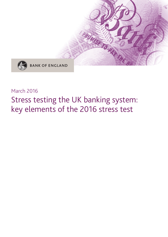

## March 2016

# Stress testing the UK banking system: key elements of the 2016 stress test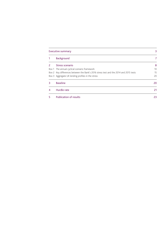| <b>Executive summary</b> |                                                                                       |    |
|--------------------------|---------------------------------------------------------------------------------------|----|
| 1                        | Background                                                                            |    |
| $\overline{z}$           | Stress scenario                                                                       | 8  |
|                          | Box 1 The annual cyclical scenario framework                                          | 10 |
|                          | Box 2 Key differences between the Bank's 2016 stress test and the 2014 and 2015 tests | 15 |
|                          | Box 3 Aggregate UK lending profiles in the stress                                     | 20 |
| 3                        | <b>Baseline</b>                                                                       | 20 |
| 4                        | Hurdle rate                                                                           | 21 |
| 5                        | <b>Publication of results</b>                                                         | 23 |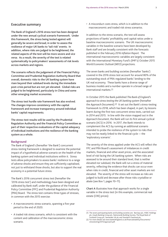## **Executive summary**

**The Bank of England's 2016 stress test has been designed under the new annual cyclical scenario framework. Under this framework, the stress being tested against will generally be severe and broad, in order to assess the resilience of major UK banks to 'tail-risk' events. In addition, where risks are judged to be heightened, the related aspects of the test will be more severe and** *vice versa***. As a result, the severity of the test is related systematically to policymakers' assessments of risk levels across markets and regions.**

**The scenario reflects the judgement of the Financial Policy Committee and Prudential Regulation Authority Board that overall, domestic risks to the UK banking system have risen beyond their subdued levels during the immediate post-crisis period but are not yet elevated. Global risks are judged to be heightened, particularly in China and some other emerging market economies.**

**The stress test hurdle rate framework has also evolved. The changes improve consistency with the capital framework and increase transparency around individual banks' capital requirements.**

**The stress-test results will be used by the Prudential Regulation Authority and the Financial Policy Committee as part of their respective evaluations of the capital adequacy of individual institutions and the resilience of the banking system as a whole.**

#### **Background**

The Bank of England's (hereafter 'the Bank') concurrent stress-testing framework is designed to examine the potential impact of a hypothetical adverse scenario on the health of the banking system and individual institutions within it. Stress tests allow policymakers to assess banks' resilience to a range of adverse shocks and ensure they are sufficiently capitalised, not just to withstand those shocks, but also to support the real economy in a potential future stress.

The Bank's 2016 concurrent stress test (hereafter the '2016 stress test') and methodology have been designed and calibrated by Bank staff, under the guidance of the Financial Policy Committee (FPC) and Prudential Regulation Authority (PRA) Board. The stress test contains three types of stresses, in common with the 2015 exercise:

- A macroeconomic stress scenario, spanning a five-year period to the end of 2020.
- A traded risk stress scenario, which is consistent with the content and calibration of the macroeconomic stress scenario.

• A misconduct costs stress, which is in addition to the macroeconomic and traded risk stress scenarios.

In addition to the stress scenario, the test will assess projections of banks' profitability and capital ratios under a baseline macroeconomic scenario. The UK macroeconomic variables in the baseline scenario have been developed by Bank staff and are broadly consistent with the forecasts published in the February 2016 *Inflation Report*. The international macroeconomic variables are largely consistent with the International Monetary Fund's (IMF's) October 2015 *World Economic Outlook* (*WEO*) projections.

The seven banks and building societies (hereafter 'banks') covered in the 2016 stress test account for around 80% of the outstanding stock of PRA-regulated banks' lending to the UK real economy. These banks have a diverse range of business models and a number operate in a broad range of international markets.(1)

In October 2015 the Bank published *The Bank of England's approach to stress testing the UK banking system* (hereafter the *Approach Document*).(2) It set out the Bank's stress-testing framework to 2018, which has been shaped, in part, by lessons learnt during the first two concurrent stress tests, carried out in 2014 and 2015. In line with the vision mapped out in the *Approach Document*, the Bank will run its first annual cyclical scenario (ACS) in 2016. In 2017, the Bank intends to complement the ACS by running an additional scenario intended to probe the resilience of the system to risks that may not be neatly linked to the financial cycle — the 'exploratory scenario'.

The severity of the stress applied under the ACS will reflect the FPC and PRA Board's assessment of imbalances in credit markets, financial and other asset prices, and the associated level of risk facing the UK banking system. When risks are assessed to be around their standard level, that is neither elevated nor subdued, the Bank will run a stress of material severity, reflecting the evidence that shocks can occur even when risks in credit, financial and other asset markets are not elevated. The severity of the stress will increase as risks are judged to build and decrease after those risks crystallise or abate (see Box 1, pages 10–11).

**Chart A** illustrates how that approach works for a single variable in the stress test (in this example, commercial real estate (CRE) prices):

<sup>(1)</sup> The seven participating banks and building societies are: Barclays plc, HSBC Holdings plc, Lloyds Banking Group plc, Nationwide Building Society, The Royal Bank of Scotland Group plc, Santander UK plc and Standard Chartered plc.

<sup>(2)</sup> For more details see [www.bankofengland.co.uk/financialstability/Documents/](www.bankofengland.co.uk/financialstability/Documents/stresstesting/2015/approach.pdf) [stresstesting/2015/approach.pdf.](www.bankofengland.co.uk/financialstability/Documents/stresstesting/2015/approach.pdf)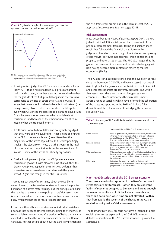**Chart A** Stylised example of stress severity across the cycle — commercial real estate prices(a)



(a) This chart plots an example path for imbalances in CRE prices, which are defined as deviations in CRE prices from an estimated equilibrium. In this example detrending is important because equilibrium CRE prices are likely to rise over time.

- If policymakers judge that CRE prices are around equilibrium (point A) — that is risks of a fall in CRE prices are around their standard level, ie neither elevated nor subdued — then the magnitude of the CRE price fall applied in the stress will correspond to the size of stress the FPC and PRA Board judge that banks should ordinarily be able to withstand (the orange arrow). Note that a material stress is still applied, even when CRE prices are assessed to be around equilibrium. This is because shocks can occur when a variable is at equilibrium, and because of the inherent uncertainties in judging what the true equilibrium is.
- If CRE prices were to have fallen and policymakers judged that they were below equilibrium — that is risks of a further fall in CRE prices were subdued (point B) — then the magnitude of the stress applied would be correspondingly smaller (the blue arrow). Note that the trough in the level of prices relative to equilibrium is similar in cases A and B. In case B, some of the stress has already crystallised.
- Finally if policymakers judge that CRE prices are above equilibrium (point C), with elevated risks of a fall, then the drop in CRE prices applied in the stress will be larger than when risks are assessed as around standard (the green arrow). Again, the trough in the stress is similar.

There is a great deal of uncertainty about the equilibrium value of assets, the true extent of risks and hence the precise likelihood of a stress materialising. But the principle of linking the severity of the scenario to policymakers' risk assessments is based on evidence that more severe outcomes can be more likely when imbalances or risks are more elevated.

In practice, the calibration of stresses for individual variables also take into account other factors, including the tendency of some variables to overshoot after periods of being particularly elevated, as well as the interdependencies between different variables. Further details about how the Bank is implementing the ACS framework are set out in the Bank's October 2015 *Approach Document*, see Box 1 on pages 10–11.

#### **Risk assessment**

In its December 2015 *Financial Stability Report* (*FSR*), the FPC judged that the UK financial system had moved out of the period of retrenchment from risk-taking and balance sheet repair that followed the financial crisis. It made this judgement based on a broad range of indicators encompassing credit growth, borrower indebtedness, credit conditions and property and other asset prices. The FPC also judged that the global macroeconomic environment remains challenging, with risks having become more centred on emerging market economies (EMEs).

The FPC and PRA Board have considered the evolution of risks since the December 2015 *FSR*, and have assessed that overall risks to global activity associated with risks in credit, financial and other asset markets are currently elevated. But within that assessment there are material divergences across economies. **Table 1** summarises their risk assessments across a range of variables which have informed the calibration of the stress incorporated in the 2016 ACS. For a fuller description of the risk assessment underlying the scenario see Section 2.2.

**Table 1** Summary of FPC and PRA Board risk assessments in the 2016 stress test

|                          | Summary of FPC and PRA Board risk assessments                                                                                                                                                                                             |  |  |  |
|--------------------------|-------------------------------------------------------------------------------------------------------------------------------------------------------------------------------------------------------------------------------------------|--|--|--|
| World activity           | Risks to global activity associated with credit, financial and<br>other asset markets are elevated, in large part reflecting<br>risks in China and other EMEs. Within that assessment<br>there are material divergences across economies. |  |  |  |
| <b>Financial markets</b> | Long-term interest rates remain very low, in part driven by<br>historically compressed term premia. The risk of a sharp<br>rise in term premia is elevated, which could have<br>knock-on effects to other asset prices.                   |  |  |  |
| UK property prices       | UK property prices may be vulnerable to rises in long-term<br>interest rates. Prime CRE prices appear overvalued on<br>some metrics. Overall risks to UK property prices are a<br>little elevated.                                        |  |  |  |
| UK activity              | Reflecting the above risks and also that domestic<br>debt-servicing costs are below historic averages, risks are<br>judged to be at a standard level.                                                                                     |  |  |  |

#### **High-level description of the 2016 stress scenario**

**The stress scenarios incorporated in the Bank's concurrent stress tests are not forecasts. Rather, they are coherent 'tail-risk' scenarios designed to be severe and broad enough to assess the resilience of UK banks to adverse shocks, which can occur even when risks are not elevated. Within that framework, the severity of the shocks in the ACS is related to policymakers' risk assessments.**

The following high-level scenario narrative is intended to help explain the stresses explored in the 2016 ACS. A more detailed description of the 2016 stress scenario is provided in Section 2.4.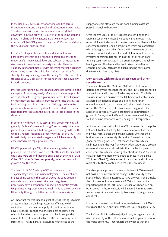In the Bank's 2016 stress scenario vulnerabilities across financial markets and the global and UK economies crystallise. The stress scenario incorporates a synchronised global downturn in output growth. Relative to the baseline scenario, growth in China and Hong Kong is particularly adversely affected. Global GDP growth troughs at -1.9%, as it did during the 2008 global financial crisis.

Investors' risk appetite diminishes and financial market participants attempt to de-risk their portfolios, generating modest safe-haven capital flows and substantial increases in risk premia in financial and property markets. There is volatility in financial markets with emerging market currencies depreciating against the US dollar. Other asset prices fall sharply. Having fallen significantly during 2015, the price of oil troughs at US\$20 per barrel, reflecting the further slowdown in world demand.

Interest rates facing households and businesses increase in the early part of the stress, partly reflecting a rise in term premia on relatively safe long-term government debt. Credit spreads on more risky assets such as corporate bonds rise sharply too. Bank funding spreads also increase. Although policymakers pursue additional monetary stimulus, which starts to reduce long-term interest rates, the overall cost of credit rises in the short term.

In common with other risky asset prices, property prices fall globally. Falls in Chinese and Hong Kong property prices are particularly pronounced, following rapid recent growth. In the United Kingdom, residential property prices fall by 31% — this is particularly concentrated in regions which have recently experienced more rapid price increases.

UK CRE prices fall by 42%, with materially greater falls in prime CRE prices which have risen robustly since the financial crisis, and were around their pre-crisis peak at the end of 2015. Other CRE prices fall less precipitously, reflecting less rapid growth since the crisis.

The level of UK GDP falls by 4.3%, accompanied by a 4.5 percentage point rise in unemployment. The combined impact of increases in the cost of credit, the contraction in world demand, falls in asset prices and heightened uncertainty have a pronounced impact on domestic growth. UK productivity growth remains weak, limiting the recovery in UK activity through the latter part of the stress horizon.

An important macroprudential goal of stress testing is to help assess whether the banking system is sufficiently well capitalised to maintain the supply of credit in the face of adverse shocks. To that end, the Bank has calibrated the scenario based on the assumption that banks supply the amount of credit demanded by the UK real economy in the stress test. That is, banks are assumed not to reduce the

supply of credit, although rises in bank funding costs are passed through to borrowers.

Over the five years of the stress scenario, lending to the UK real economy increases by around 4.5% in total. That reflects UK credit demand in the stress scenario. Banks will be expected to submit lending projections which are consistent with this aggregate profile. Over the first two years of the stress scenario, the demand for credit falls as asset prices fall, investment growth declines, and as the initial rise in bank funding costs incorporated in the stress is passed through to lending rates. The demand for credit rises thereafter as economic activity increases and bank funding costs come down (see Box 3 on page 20).

### **Comparisons with previous stress tests and other severity metrics**

The orientation of the 2014 and 2015 stress tests were determined by the risks that the FPC and PRA Board identified as significant and in need of further exploration. The 2014 stress test focused on risks to the UK household sector, such as a large fall in house prices and a significant rise in unemployment in part as a result of a sharp rise in interest rates. The 2015 stress test focused more on global risks associated particularly with a pronounced contraction in growth in China, other EMEs and the euro-area periphery, as well as on risks associated with lending to UK corporates.

An important motivation for the ACS framework is to help the FPC and PRA Board set capital requirements and buffers for individual firms across the banking system, whether their business models are heavily UK lending focused, or more global or trading focused. That means that stress tests calibrated under the ACS framework will incorporate a broader range of domestic and global risks than the Bank's previous concurrent stress tests. Some global shocks in the 2016 stress test are therefore more comparable to those in the Bank's 2015 test (**Chart B**), while some of the domestic shocks are more akin to those contained in the 2014 stress test.

The change in approach to scenario design in 2016 means it is not possible to infer from the change in the severity of the scenario how risks are assessed to have evolved. For example, the US stress looks more severe in 2016 but it was not an important part of the 2014 or 2015 tests, which focused on other areas. In future years, it will be possible to read across from changes in scenario severity to changes in judgements about risks.

For further discussion of the differences between the 2016 stress and the 2014 and 2015 tests, see Box 2 on pages 15–16.

The FPC and PRA Board have judged that, for a given level of risk, the severity of the UK scenario should be greater than for the world economy. That reflects the evidence that the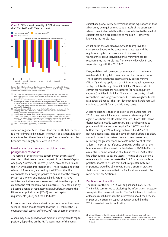

#### **Chart B** Differences in severity of GDP stresses across the 2014, 2015 and 2016 exercises<sup>(a)</sup>

Sources: Bank of England, European Banking Authority, European Commission, IMF October<br>2014 World Frangmic Outlook, IMF October 2015 World Frangmic Outlook, IMF January 201 2014 *World Economic Outlook*, IMF October 2015 *World Economic Outlook,* IMF January 2016 *World Economic Outlook Update* and Bank calculations.

- (a) Chart shows the maximum deviation between calendar-year real GDP in the stress and baseline scenarios, over the three-year (2014 scenario) and five-year (2015 and 2016 scenarios) horizons.
- (b) The 2014 bars are calculated from: (i) the 2014 UK variant scenario (for the<br>United Kingdom) and the 2014 EBA scenario (for foreign economies) in the stress, and<br>(ii) the projections of the MPC as communicated in the F the United Kingdom) and the European Commission's Winter 2014 forecast (for foreign economies) in the baseline.
- (c) Baseline projections in 2015, other than for the United Kingdom, are consistent IMF's projections in the October 2014 IMF *World Economic Outlook*. Bank staff have
- quarterly interpolated the original annual series. (d) Baseline projections in 2016, other than for the United Kingdom, are largely consistent with the IMF's projections in the October 2015 IMF *World Economic Outlook*. Bank staff have quarterly interpolated the original annual series. The baseline projection for Brazil is based on the IMF's January 2016 *World Economic Outlook Update*, to take account of material news between October and year-end. Bank staff have extended the profile to 2020.

(e) World GDP is weighted by purchasing power parity.

variation in global GDP is lower than that of UK GDP because it is more diversified in nature. However, adjustment has been made to reflect the evidence that performance of economies becomes more highly correlated in a crisis.

#### **Hurdle rate for stress-test participants and policymaker responses**

The results of the stress test, together with the results of stress tests that banks conduct as part of the Internal Capital Adequacy Assessment Process (ICAAP), provide the FPC and the PRA with a rich information set. These results, and other relevant information, are used by the FPC and the PRA to co-ordinate their policy responses to ensure that the banking system as a whole, and individual banks within it, have sufficient capital to absorb losses and maintain the supply of credit to the real economy even in a stress. They can do so by adjusting a range of regulatory capital buffers, including the UK countercyclical buffer (CCyB), sectoral capital requirements (SCRs) and the PRA buffer.

In producing their balance sheet projections under the stress scenario, banks should assume that the FPC will set the UK countercyclical capital buffer (CCyB) rate at zero in the stress.

A bank may be required to take action to strengthen its capital position, depending on the PRA's assessment of the bank's

capital adequacy. A key determinant of the type of action that a bank may be required to take as a result of the stress test is where its capital ratio falls in the stress, relative to the level of capital that banks are expected to maintain — otherwise known as the hurdle rate.

As set out in the *Approach Document*, to improve the consistency between the concurrent stress test and the regulatory capital framework, and to improve the transparency about individual banks' minimum capital requirements, the hurdle rate framework will evolve in two ways, starting with the 2016 ACS.

First, each bank will be expected to meet all of its minimum risk-based CET1 capital requirements in the stress scenario. These comprise both the internationally agreed minima ('Pillar 1') and any uplift to that minimum capital requirement set by the PRA through Pillar 2A.(1) Pillar 2A is intended to correct for risks that are not captured (or not adequately captured) in Pillar 1. As Pillar 2A varies across banks, this will mean there is no longer a common CET1 risk-weighted hurdle rate across all banks. The Tier 1 leverage ratio hurdle rate will continue to be 3% for all participating banks.

A second change is that, in addition to the hurdle rate, the 2016 stress test will include a 'systemic reference point' against which the results will be assessed. From 2016, banks designated as globally systemic (G-SIBs) are beginning to phase in additional common equity Tier 1 (CET1) capital buffers that, by 2019, will range between 1 and 2.5% of risk-weighted assets. The objective of these buffers is to allow systemic banks to withstand greater stress than others, reflecting the greater economic costs in the event of their failure. The systemic reference point will be the sum of the hurdle rate and the phase-in path of a bank's G-SIB buffer. In a real stress, banks would be able to use these G-SIB buffers, like other buffers, to absorb losses. The use of the systemic reference point does not make the G-SIB buffer unusable in practice; it acts to ensure that banks of greater systemic importance would be able to withstand a stress in practice that is even more severe that the Bank's stress scenario. For more details see Section 4.

#### **Publication of results**

The results of the 2016 ACS will be published in 2016 Q4. The Bank is committed to disclosing the information necessary to explain the stress-test results. The Bank intends to disclose at least as much bank-specific information about the headline impact of the stress on capital adequacy as it did in the 2015 stress-test results publication.

<sup>(1)</sup> All participants in the 2016 stress test with December financial year ends have disclosed their current Pillar 2A in their 2015 Annual Reports. Nationwide, which has an April year end, disclosed its current Pillar 2A requirement in its 2015–16 Interim Results.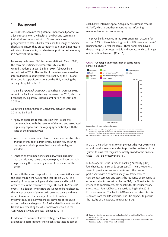## **1 Background**

A stress test examines the potential impact of a hypothetical adverse scenario on the health of the banking system and individual institutions within it. Stress tests allow policymakers to assess banks' resilience to a range of adverse shocks and ensure they are sufficiently capitalised, not just to withstand those shocks, but also to support the real economy in a potential future stress.

Following on from an FPC Recommendation in March 2013, the Bank ran its first concurrent stress test of the United Kingdom's largest banks in 2014, followed by a second test in 2015. The results of these tests were used to inform decisions about system-wide policy by the FPC and firm-specific supervisory actions by the PRA, including the setting of capital buffers.(1)

The Bank's *Approach Document*, published in October 2015, set out the Bank's stress-testing framework to 2018, which has been shaped, in part by lessons learnt during the 2014 and 2015 tests.

As outlined in the *Approach Document*, between 2016 and 2018 the Bank will:

- Apply an approach to stress testing that is explicitly countercyclical, with the severity of the test, and associated regulatory capital buffers, varying systematically with the state of the financial cycle.
- Improve the consistency between the concurrent stress test and the overall capital framework, including by ensuring that systemically important banks are held to higher standards.
- Enhance its own modelling capability, while ensuring that participating banks continue to play an important role in producing their own projections of the impact of the stress.

In line with the vision mapped out in the *Approach Document*, the Bank will run the ACS for the first time in 2016. The severity of the stress will generally be severe and broad, in order to assess the resilience of major UK banks to 'tail-risk' events. In addition, where risks are judged to be heightened, the related aspects of the test will be more severe and vice versa. As a result, the severity of the test is related systematically to policymakers' assessments of risk levels across markets and regions. For further details about how the Bank is implementing the ACS framework set out in the *Approach Document*, see Box 1 on pages 10–11.

In addition to concurrent stress testing, the PRA continues to ask banks to perform other individual stress tests as part of

each bank's Internal Capital Adequacy Assessment Process (ICAAP), which is another important tool informing microprudential decision-making.

The seven banks covered in the 2016 stress test account for around 80% of the outstanding stock of PRA-regulated banks' lending to the UK real economy. These banks also have a diverse range of business models and operate in a broad range of international markets (**Chart 1**).





Sources: Bank of England and Bank calculations.

a) Data are as at end-2015. Geographical exposures are based on residence of immediate)<br>counterparty, Exposures includes loans and advances, claims under sale and repurchase<br>agreements, long and short-term debt securities

(b) Euro-area periphery is defined as Cyprus, Greece, Ireland, Italy, Portugal and Spain.

In 2017, the Bank intends to complement the ACS by running an additional scenario intended to probe the resilience of the system to risks that may not be neatly linked to the financial cycle — the 'exploratory scenario'.

In February 2016, the European Banking Authority (EBA) launched its 2016 EU-wide stress test.(2) The EU-wide test seeks to provide supervisors, banks and other market participants with a common analytical framework to consistently compare and assess the resilience of EU banks to economic shocks. As set out by the EBA, the EU-wide test is intended to complement, not substitute, other supervisory stress tests. Four UK banks are participating in the 2016 EU-wide exercise. The Bank's 2016 concurrent stress test is separate from the EBA exercise. The EBA expects to publish the results of the exercise in early 2016 Q3.

<sup>(1)</sup> For more details see [www.bankofengland.co.uk/financialstability/documents/fpc/](http://www.bankofengland.co.uk/financialstability/documents/fpc/results011215.pdf) [results011215.pdf.](http://www.bankofengland.co.uk/financialstability/documents/fpc/results011215.pdf)

<sup>(2)</sup> For more details see the EBA's stress testing website at [www.eba.europa.eu/-/eba](www.eba.europa.eu/-/eba-launches-2016-eu-wide-stress-test-exercise)[launches-2016-eu-wide-stress-test-exercise.](www.eba.europa.eu/-/eba-launches-2016-eu-wide-stress-test-exercise)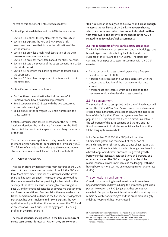The rest of this document is structured as follows:

Section 2 provides details about the 2016 stress scenario:

- Section 2.1 outlines the key elements of the stress test.
- Section 2.2 explains the FPC and PRA Board's risk assessment and how that links to the calibration of the stress scenario.
- Section 2.3 provides a high-level description of the 2016 macroeconomic stress scenario.
- Section 2.4 provides more detail about the stress scenario.
- Section 2.5 sets the severity of the stress scenario in broader historical context.
- Section 2.6 describes the Bank's approach to traded risk in the stress test.
- Section 2.7 describes the approach to misconduct costs in the stress test.

Section 2 also contains three boxes:

- Box 1 outlines the motivation behind the new ACS framework and how it has been implemented.
- Box 2 compares the 2016 test with the two concurrent stress tests preceding it.
- Box 3 discusses the aggregate UK lending profiles in the stress scenario.

Section 3 describes the baseline scenario for the 2016 test. Section 4 describes the hurdle rate framework for the 2016 stress. And Section 5 outlines plans for publishing the results of the test.

Two further documents published today provide banks with methodological guidance for conducting their own analysis.(1) The full set of variable paths underlying the macroeconomic stress scenario is also available on the Bank's website.(2)

## **2 Stress scenario**

This section starts by describing the main features of the 2016 stress. It then summarises the context in which the FPC and PRA Board have made their risk assessments and the stress scenario has been designed. The section goes on to outline the scenario narrative before providing further detail on the severity of the stress scenario, including by comparing it to past UK and international episodes of adverse macroeconomic and financial conditions. Box 1 explains the way in which the Bank's ACS framework outlined in the October 2015 *Approach Document* has been implemented. Box 2 explains the key qualitative and quantitative differences between the 2015 and 2016 scenarios. Box 3 discusses the aggregate UK lending profiles in the stress scenario.

**The stress scenarios incorporated in the Bank's concurrent stress tests are not forecasts. Rather, they are coherent**

**'tail-risk' scenarios designed to be severe and broad enough to assess the resilience of UK banks to adverse shocks, which can occur even when risks are not elevated. Within that framework, the severity of the shocks in the ACS is related to policymakers' risk assessments.**

#### **2.1 Main elements of the Bank's 2016 stress test**

The Bank's 2016 concurrent stress test and methodology have been designed and calibrated by Bank staff, under the guidance of the FPC and the PRA Board. The stress test contains three types of stresses, in common with the 2015 exercise:

- A macroeconomic stress scenario, spanning a five-year period to the end of 2020.
- A traded risk stress scenario, which is consistent with the content and calibration of the macroeconomic stress scenario.
- A misconduct costs stress, which is in addition to the macroeconomic and traded risk stress scenarios.

#### **2.2 Risk assessment**

The severity of the stress applied under the ACS each year will reflect the FPC and PRA Board's assessments of imbalances in credit, financial markets, and asset prices, and the associated level of risk facing the UK banking system (see Box 1 on pages 10–11). This means that there is a direct link between the calibration of the 2016 scenario and the FPC and PRA Board's assessment of risks facing individual banks and the UK banking system as a whole.

In its December 2015 *FSR*, the FPC judged that the UK financial system had moved out of the period of retrenchment from risk-taking and balance sheet repair that followed the financial crisis. It made this judgement based on a broad range of indicators encompassing credit growth, borrower indebtedness, credit conditions and property and other asset prices. The FPC also judged that the global macroeconomic environment remains challenging, with risks having become more centred on emerging market economies (EMEs).

#### The domestic risk environment

Overall, risks stemming from domestic credit have risen beyond their subdued levels during the immediate post-crisis period. However, the FPC judges that they are not yet elevated. Supported by low interest rates, debt-servicing costs remain below historic averages and the proportion of highly indebted households has not increased.

<sup>(1)</sup> Guidance for participating banks and building societies can be found here: [www.bankofengland.co.uk/financialstability/pages/FPC/stresstest.aspx.](http://www.bankofengland.co.uk/financialstability/pages/FPC/stresstest.aspx)

<sup>(2)</sup> The variable paths for the Bank's 2016 stress test can be found here: [www.bankofengland.co.uk/financialstability/Documents/stresstesting/2016/](http://www.bankofengland.co.uk/financialstability/Documents/stresstesting/2016/variablepaths.xlsx) [variablepaths.xlsx.](http://www.bankofengland.co.uk/financialstability/Documents/stresstesting/2016/variablepaths.xlsx)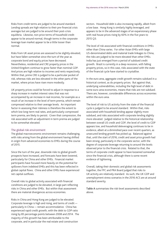Risks from credit terms are judged to be around standard. Lending spreads are high relative to their pre-financial crisis averages but are judged to be around their post-crisis equilibria. Likewise, non-price terms of household credit appear to be around normal, though terms in the corporate leverage loan market appear to be a little looser than normal.

Risks from UK asset prices are assessed to be slightly elevated, but have fallen somewhat since the turn of the year as corporate bond and equity prices have decreased. Nevertheless, residential and CRE property prices in the United Kingdom continue to grow faster than nominal GDP. And prices are high relative to incomes and rents respectively. Within that, prime CRE is judged to be a particular pocket of risk, whereas risks are less elevated in the other parts of the market, where prices have risen more modestly.

UK property prices could be forced to adjust in response to a sharp increase in market interest rates that was not accompanied by an increase in real incomes, for example as a result of an increase in the level of term premia, which remain compressed relative to their average levels. An important factor in assessing their riskiness is therefore the extent to which low long-term real rates, and particularly compressed term premia, are likely to persist. Given that compression, the risk associated with an adjustment in term premia are judged to be somewhat elevated.

#### The global risk environment

The global macroeconomic environment remains challenging, with risks arising from the global environment having shifted in origin from advanced economies to EMEs during the course of 2015.

Since the turn of the year, downside risks to global growth prospects have increased, and forecasts have been lowered, particularly for China and other EMEs. Financial market participants have focused more heavily on the potential for spillovers from indebted EMEs and this has been reflected in global capital flows. China and other EMEs have experienced net capital outflows.

Overall risks to global activity associated with financial conditions are judged to be elevated, in large part reflecting risks in China and other EMEs. But within that assessment there are material divergences across economies.

Risks in China and Hong Kong are judged to be elevated. Corporate leverage is high and rising, and terms of credit particularly in China — remain accommodative. China has experienced rapid credit growth, with the debt to GDP ratio rising by 85 percentage points between 2008 and 2014. The majority of this growth has been attributable to the corporate, and in particular the real estate and construction

sectors. Household debt is also increasing rapidly, albeit from a low base. Hong Kong is similarly highly leveraged, and appears to be in the advanced stages of an expansionary phase with real house prices rising by 60% in the five years to 2015 Q3.

The level of risk associated with financial conditions in EMEs other than China varies. For other Asian EMEs with large US-denominated debts and material trade linkages to China, the risks are judged to be more elevated than other EMEs. India has just emerged from a period of subdued credit growth. Brazil is currently in a deep recession, with falling property prices, so in this case, risks associated with the state of the financial cycle have started to crystallise.

In the euro area, aggregate credit growth remains subdued in a historical context, as do property prices. But against that, underlying vulnerabilities, including the high level of debt in some euro-area economies, means that risks are not subdued. There are, however, considerable differences across economies within the euro area.

The level of risk to US activity from the state of the financial cycle is judged to be around standard. Within that, risks associated with household lending appear slightly more subdued, and risks associated with corporate lending slightly more elevated. Judged relative to the historical relationship between overall US credit and GDP, the level of credit to GDP appears low, and household deleveraging continues to be in evidence, albeit at a diminished pace over recent quarters, as unsecured lending growth has picked up. Balanced against that, until the start of 2016, credit and asset price growth had been strong, particularly in the corporate sector, with the degree of corporate leverage returning to around the levels observed prior to the financial crisis. Related to that, the terms of corporate credit appear to have loosened somewhat since the financial crisis, although there is some recent evidence of tightening.

Overall, taking their domestic and global risk assessments together, the FPC and PRA Board judged that risks to UK activity are relatively standard. As such, the UK GDP and unemployment stress scenarios in the 2016 ACS are at around standard severity.

**Table A** summarises the risk-level assessments described above.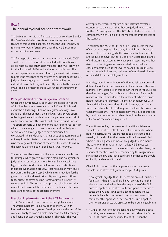## **Box 1 The annual cyclical scenario framework**

The 2016 stress test is the first exercise to be conducted under the Bank's updated approach to stress testing. A central feature of this updated approach is that the Bank will now be running two types of stress scenarios that will be common across participating banks.

The first type of scenario — an annual cyclical scenario (ACS) — will be used to assess risks associated with conditions in credit, financial and other asset markets. The ACS is running for the first time in 2016, and is the focus of this box. The second type of scenario, an exploratory scenario, will be used to probe the resilience of the system to risks that policymakers judge to be emerging threats to financial stability and individual banks, but may not be neatly linked to the financial cycle. The exploratory scenario will run for the first time in 2017.

#### **Principles behind the annual cyclical scenario**

Under the new framework, each year, the calibration of the ACS will reflect the assessment of the FPC and PRA Board about the risks facing UK banks in a systematic way. In a standard risk environment, the Bank will run a severe stress, reflecting evidence that shocks can happen even when risks in credit, financial and other asset markets are around standard. The stress scenario will become more severe from year to year when risks are judged to have increased, and similarly less severe when risks are judged to have diminished or crystallised. The underlying risk tolerance of policymakers will not vary from test to test; in other words, given prevailing risks the very low likelihood of the event they want to ensure the banking system is capitalised against will not vary.

The severity of the scenario is likely to be greater in a boom, for example when growth in credit is rapid and policymakers judge that asset prices are more likely to be unsustainably high. In such episodes, financial markets and institutions might believe that risks are low. That risk illusion may cause risk premia to be compressed, which in turn may fuel further growth in credit and asset prices. By leaning against these tendencies, the stress-testing framework will be explicitly countercyclical. This systematic approach should mean that markets and banks will be better able to anticipate the broad shape and severity of the scenario over time.

#### **Practical implementation of the ACS framework**

The ACS incorporates both domestic and global elements. The United Kingdom is a highly open economy with an international banking system. Developments in the rest of the world are likely to have a sizable impact on the UK economy and financial sector through a range of channels. The ACS

attempts, therefore, to capture risks in relevant overseas economies, to the extent that they are judged to be material for the UK banking sector. The ACS also includes a traded risk component, which is linked to the macroeconomic aspects of the scenario.

To calibrate the ACS, the FPC and PRA Board assess the level of current risks in particular credit, financial, and other asset markets. In determining whether risks in individual markets are subdued or elevated, the FPC and PRA Board take a range of indicators into account. For example, in assessing whether risks in the housing market are elevated, policymakers consider factors such as the level of house prices relative to trends, household incomes, estimates of rental yields, interest rates and debt serviceability metrics.

In reality, there is a continuum of different risk levels around different variables in particular credit, financial and other asset markets. For tractability, in this document those risk levels are described as ranging from subdued to elevated. For a single market variable, a 'standard' risk assessment, where risks are neither reduced nor elevated, is generally synonymous with that variable being around its historical average, once any trends, structural breaks, and long-run fundamental drivers are taken into account. The risk assessment may also be affected by the risks around other variables thought to have a material influence on the variable in question.

The outturns for key macroeconomic and financial market variables in the stress reflect these risk assessments. Where risks in a particular market are judged to be elevated, the severity of the shock to that market will be increased. And where risks in a particular market are judged to be subdued, the severity of the shock to that market will be reduced. When risks are assessed to be around their standard level, the severity of the stress will be determined by the magnitude of stress that the FPC and PRA Board consider that banks should ordinarily be able to withstand.

**Chart A** illustrates how that approach works for a single variable in the stress test (in this example, CRE prices):

- If policymakers judge that CRE prices are around equilibrium (point A) — that is risks of a fall in CRE prices are neither elevated nor subdued — then the magnitude of the CRE price fall applied in the stress will correspond to the size of stress the FPC and PRA Board judge that banks should ordinarily be able to withstand (the orange arrow). Note that under this approach a material stress is still applied, even when CRE prices are assessed to be around equilibrium.
- If CRE prices were to have fallen and policymakers judged that they were below equilibrium — that is risks of a further fall in CRE prices were subdued (point B) — then the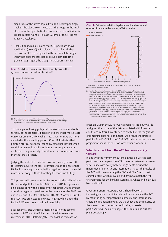magnitude of the stress applied would be correspondingly smaller (the blue arrow). Note that the trough in the level of prices in the hypothetical stress relative to equilibrium is similar in cases A and B. In case B, some of the stress has already crystallised.

• Finally if policymakers judge that CRE prices are above equilibrium (point C), with elevated risks of a fall, then the drop in CRE prices applied in the stress will be larger than when risks are assessed as around standard (the green arrow). Again, the trough in the stress is similar.





<sup>(</sup>a) This chart plots an example path for imbalances in CRE prices, which are defined as deviations in CRE prices from an estimated equilibrium. In this example detrending is important because equilibrium CRE prices are likely to rise over time.

The principle of linking policymakers' risk assessments to the severity of the scenario is based on evidence that more severe outcomes are more likely when imbalances or risks are more elevated in the preceding period. **Chart B** illustrates that point; historical advanced-economy data suggest that when conditions in credit and financial markets are particularly exuberant, the probability of weak macroeconomic outcomes in the future is greater.

Judging the state of risks is not, however, synonymous with forecasting adverse shocks. Policymakers aim to ensure that UK banks are adequately capitalised against shocks that **could** materialise, not just those that they think are most likely.

This process will be symmetric. For example, the calibration of the stressed path for Brazilian GDP in the 2016 test provides an example of how the extent of further stress will be smaller after risks begin to crystallise. In the baseline for the 2015 test and in line with the IMF's October 2014 *WEO* forecast, Brazil's real GDP was projected to increase in 2015, while under the Bank's 2015 stress scenario it fell materially.

Subsequently, Brazil entered recession during the second quarter of 2015 and the IMF expects Brazil to remain in recession in 2016. Reflecting this, the baseline forecast for

#### **Chart B** Estimated relationship between imbalances and outturns in advanced-economy GDP growth(a)



Sources: Bank for International Settlements, national sources, OECD, Thomson Reuters Datastream and Bank calculations.

(a) Each line shows the distribution of outturns in GDP that have occurred historically across advanced economies following a given level of imbalances in credit and financial markets.<br>A simple measure of imbalances has been used to construct this chart — it evenly weights<br>deviations in total credit to GDP, the hous from their estimated equilibriums — these metrics are widely available across countries and time. In practice, the FPC and PRA Board take into account a much richer set of information to measure imbalances. The imbalance measure has been divided into quintiles to produce the five lines on the chart. The lines show that as imbalances increase, the left tail of the distribution grows, suggesting that the probability of a weak outturn in GDP is higher at higher levels of imbalances. For example, the darkest line shows GDP outturns that have occurred historically in advanced economies following periods in which imbalances have been very high — in the top 20% of observations. GDP outturns are measured as<br>deviations in the level of GDP from its trend three years after imbalances are measured,<br>where the trend in GDP is calculated using a one-sided 20 advanced economies from 1970 to 2015.

Brazilian GDP in the 2016 ACS has been revised downwards. And given that some of the risks associated with financial conditions in Brazil have started to crystallise the magnitude of remaining risks has diminished. As a result the stressed path for Brazil's GDP in the 2016 ACS is closer to the baseline projection than is the case for some other economies.

#### **What to expect from the ACS framework going forward**

In line with the framework outlined in this box, stress-test participants can expect the ACS to evolve systematically over time, in line with policymakers' judgements around the magnitude of domestic and international risks. The results of the ACS will therefore help the FPC and PRA Board to set capital buffers which move up and down to match the risk environment, for the banking system as a whole and individual banks within it.

Over time, stress-test participants should become increasingly able to anticipate broad movements in the ACS by monitoring developments in domestic and international credit and financial markets. As the shape and the severity of the scenario becomes more predictable, stress-test participants will be able to adjust their capital and business plans accordingly.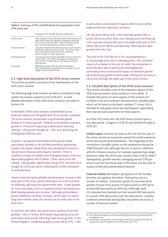#### **Table A** Summary of FPC and PRA Board risk assessments in the 2016 stress test

|                          | Summary of FPC and PRA Board risk assessments                                                                                                                                                                                             |  |  |  |
|--------------------------|-------------------------------------------------------------------------------------------------------------------------------------------------------------------------------------------------------------------------------------------|--|--|--|
| World activity           | Risks to global activity associated with credit, financial and<br>other asset markets are elevated, in large part reflecting<br>risks in China and other EMEs. Within that assessment<br>there are material divergences across economies. |  |  |  |
| <b>Financial markets</b> | Long-term interest rates remain very low, in part driven by<br>historically compressed term premia. The risk of a sharp<br>rise in term premia is elevated, which could have<br>knock-on effects to other asset prices.                   |  |  |  |
| UK property prices       | UK property prices may be vulnerable to rises in long-term<br>interest rates. Prime CRE prices appear overvalued on<br>some metrics. Overall risks to UK property prices are a<br>little elevated.                                        |  |  |  |
| UK activity              | Reflecting the above risks and also that domestic<br>debt-servicing costs are below historic averages, risks are<br>judged to be at a standard level.                                                                                     |  |  |  |

**2.3 High-level description of the 2016 stress scenario** This section provides a summary of the manifestation of the

2016 stress scenario.

The following high-level scenario narrative is intended to help explain the stresses explored in the 2016 ACS. A more detailed description of the 2016 stress scenario is provided in Section 2.4.

In the Bank's 2016 stress scenario vulnerabilities across financial markets and the global and UK economies crystallise. The stress scenario incorporates a synchronised global downturn in output growth. Relative to the baseline scenario, growth in China and Hong Kong is particularly adversely affected. GDP growth troughs at -1.9%, as it did during the 2008 global financial crisis.

Investors' risk appetite diminishes and financial market participants attempt to de-risk their portfolios, generating modest safe-haven capital flows and substantial increases in risk premia in financial and property markets. There is volatility in financial markets with emerging market currencies depreciating against the US dollar. Other asset prices fall sharply. Having fallen significantly during 2015, the price of oil troughs at US\$20 per barrel, reflecting the further slowdown in world demand.

Interest rates facing households and businesses increase in the early part of the stress, partly reflecting a rise in term premia on relatively safe long-term government debt. Credit spreads on more risky assets such as corporate bonds rise sharply too. Bank funding spreads also increase. Although policymakers pursue additional monetary stimulus, which starts to reduce long-term interest rates, the overall cost of credit rises in the short term.

In common with other risky asset prices, property prices fall globally. Falls in Chinese and Hong Kong property prices are particularly pronounced, following rapid recent growth. In the United Kingdom, residential property prices fall by 31% — this

is particularly concentrated in regions which have recently experienced more rapid price increases.

UK CRE prices fall by 42%, with materially greater falls in prime CRE prices which have risen robustly since the financial crisis, and were around their pre-crisis peak at the end of 2015. Other CRE prices fall less precipitously, reflecting less rapid growth since the crisis.

The level of UK GDP falls by 4.3%, accompanied by a 4.5 percentage point rise in unemployment. The combined impact of increases in the cost of credit, the contraction in world demand, falls in asset prices and heightened uncertainty have a pronounced impact on domestic growth. UK productivity growth remains weak, limiting the recovery in UK activity through the latter part of the stress horizon.

#### **2.4 Detailed description of the 2016 stress scenario**

This section describes some of the important aspects of the 2016 macroeconomic stress scenario in more detail. It includes description of some aspects of the scenario not included in the set of stressed macroeconomic variable paths, which can be found on the Bank's website.<sup>(1)</sup> In part, this is intended to help guide stress-test participants in generating their own stressed projections for those aspects.

As in the 2015 stress test, the 2016 stress scenario spans a five-year period. It begins in 2016 Q1 and extends through to 2020 Q4.

**Global output** contracts by close to 2% over the first year of the stress scenario as economies around the world experience severe and synchronised slowdowns. The magnitude of this contraction is broadly similar to that experienced during the 2008 financial crisis, although the mix of shocks is different, with the Chinese economy, for example, experiencing a larger downturn under the 2016 stress scenario than it did in 2008.(2) Subsequently, growth resumes, averaging around 3.3% per annum over the final three years of the stress, but the level of output remains persistently below baseline.

**Financial market** participants' perceptions of risk increase, and their risk appetite diminishes. Risk premia rise in a number of markets. Investment-grade US corporate bond spreads increase from around 170 basis points in 2015 Q4 to around 500 basis points by 2016 Q4, while high-yield US corporate bond spreads rise from around 640 basis points to around 1,690 basis points over the same period. Liquidity conditions deteriorate and liquidity risk premia rise across a number of financial markets.

<sup>(1)</sup> See [www.bankofengland.co.uk/financialstability/Documents/stresstesting/2016/](http://www.bankofengland.co.uk/financialstability/Documents/stresstesting/2016/variablepaths.xlsx) [variablepaths.xlsx.](http://www.bankofengland.co.uk/financialstability/Documents/stresstesting/2016/variablepaths.xlsx)

<sup>(2)</sup> According to International Financial Statistics (IFS) data provided by the IMF, the trough in annual PPP-weighted world GDP growth was -1.9%.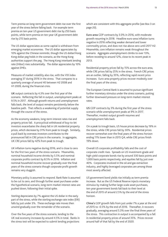Term premia on long-term government debt rise over the first year of the stress before falling back. For example term premia on ten-year US government debt rise by 250 basis points, while term premia on ten-year UK government debt rise by 215 basis points.

The US dollar appreciates as some capital is withdrawn from emerging market economies. The US dollar appreciates by 10% against the Chinese renminbi, though the US dollar/Hong Kong dollar peg holds in the scenario, as the Hong Kong authorities support the peg. The Hong Kong interbank lending rate (Hibor) rises substantially. The dollar appreciates by 10% against EMEs.

Measures of market volatility also rise, with the VIX index averaging 37 during 2016 in the stress. That compares to a quarterly average of around 40 between H2 2008 and H1 2009, during the financial crisis.

**UK** output contracts by 4.3% over the first year of the scenario. Reflecting the fall in output, unemployment peaks at 9.5% in 2017. Although growth returns and unemployment falls back, the level of output remains persistently below the baseline path. That reflects a weakening of potential supply through the course of the stress.

As the economy weakens, long-term interest rates rise and property prices fall. A procyclical withdrawal of buy-to-let investors exacerbates the sharp fall in UK residential property prices, which decrease by 31% from peak to trough. Similarly, a pull back by overseas investors contributes to the pronounced fall in CRE prices in the scenario. In aggregate, UK CRE prices fall by 42% from peak to trough.

UK inflation turns negative during 2016, and is close to zero for the first two years of the stress scenario. Meanwhile, nominal household income shrinks by 5.5% and nominal corporate profits contract by 8.5% in 2016. Inflation and nominal household income recover gradually over the final years of the stress scenario though corporate profit growth remains very sluggish.

Monetary policy is assumed to respond. Bank Rate is assumed to be cut to zero, and through further asset purchases under the hypothetical scenario, long-term market interest rates are pushed down, following their initial spike.

Sterling depreciates by 7% against the US dollar in the early part of the stress, while the sterling exchange rate index (ERI) falls by just under 3%. These exchange rate moves then unwind gradually over the remainder of the scenario.

Over the five years of the stress scenario, lending to the UK real economy increases by around 4.5% in total. Banks in the stress test will be expected to submit lending projections

which are consistent with this aggregate profile (see Box 3 on page 20).

**Euro-area** GDP contracts by 3.0% in 2016, with moderate growth resuming in 2018. Headline euro-area inflation turns negative in 2016 reflecting weaker demand and lower commodity prices, and does not rise above zero until 2017 H2. Meanwhile, core inflation remains weak throughout the scenario. Aggregate unemployment climbs to over 13%, before receding to around 12%, close to its recent peak in 2013.

Residential property prices fall by 15% across the euro area, while CRE prices fall by 25% in the stress. French CRE prices are an outlier, falling by 35%, reflecting rapid recent price increases. Euro-area property prices recover modestly over the final years of the stress.

The European Central Bank is assumed to pursue significant further monetary stimulus under the stress scenario, putting further downward pressure on long-term market interest rates.

**US** GDP contracts by 3% during the first year of the stress scenario while unemployment peaks at 9% in 2017. Thereafter, modest output growth resumes and unemployment falls back.

On a peak to trough basis, US house prices decrease by 19% in the stress, while CRE prices fall by 30%. Residential prices recover somewhat over the final years of the stress horizon ending 11% lower than in 2015 Q4, while CRE prices finish 19% down.

Overall US corporate profitability falls and the cost of corporate credit rises. Spreads on US investment-grade and high-yield corporate bonds rise by around 330 basis points and 1,000 basis points respectively, and equities fall by just over 40%. Corporates involved in the oil and gas extraction industry, and highly leveraged corporates are among those most severly affected.

US government bond yields rise initially as term premia increase. But as the US Federal Reserve injects monetary stimulus by making further large-scale asset purchases, ten-year government bonds fall back to their level at the end of 2015 of around 2.5% by the end of the stress horizon.

**China's** GDP growth falls from just under 7% a year at the end of 2015 to -0.5% by the end of 2016. Thereafter, it recovers gradually, averaging around 5.3% over the final three years of the stress. This contraction in output is accompanied by a fall in residential property prices of around 35%. Prices recover around half of that fall by the end of 2020.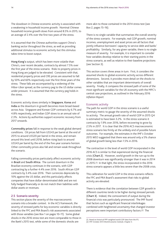The slowdown in Chinese economic activity is associated with a weakening in household income growth. Nominal Chinese household income growth slows from around 8.5% in 2015, to an average of 2.4% over the first two years of the stress.

It is assumed that the Chinese authorities support China's banking sector throughout the stress, as well as providing additional stimulus to economic activity but this stimulus takes time to boost output.

**Hong Kong's** output, which has been more volatile than China's, over recent decades, contracts by almost 7.5% over the first year of the stress scenario. Risks to property prices in Hong Kong are judged to be elevated. Consistent with that, residential property prices and CRE prices are assumed to fall by 50% and 60% respectively over the first three years of the stress. These falls are accompanied by a widening of the Hibor-Libor spread, as the currency peg to the US dollar comes under pressure. It is assumed that the currency peg holds in the stress.

Economic activity slows similarly in **Singapore**, **Korea** and **India** as the downturn in growth becomes more broad-based across Asia. Singapore and Korean GDP contracts by 6.7% and 4.8% respectively, and Indian GDP slows to an annual rate of 2.3%. Actions by authorities support economic recovery from 2017 onwards.

**Commodity prices** fall in response to the weak global demand conditions. Oil prices fall from US\$43 per barrel at the end of 2015 to around US\$20 per barrel in the stress, and remain around this level until 2018, before rising back to around US\$43 per barrel by the end of the five-year scenario horizon. Other commodity prices also fall and remain weak throughout the scenario.

Falling commodity prices particularly affect economic activity in **Brazil** and **South Africa**. The current downturn in the Brazilian economy continues in the scenario, with GDP contracting by a further 4.4% over 2016. South African GDP contracts by 3.4% over 2016. Their currencies depreciate by 10% against the US dollar, and this particularly affects companies that have dollar-denominated debt and are not fully hedged financially or do not match their liabilities with dollar assets or revenues.

#### **2.5 Scenario severity**

This section places the severity of the macroeconomic scenario into a broader context. In the ACS framework, the severity of stressed paths for key economic variables is directly linked to the FPC and PRA Board's risk assessments associated with those variables (see Box 1 on pages 10–11). Some global shocks in the 2016 stress test are more comparable to those in the Bank's 2015 test, while some of the domestic shocks are

more akin to those contained in the 2014 stress test (see Box 2, pages 15–16).

There is no single variable that summarises the overall severity of the stress scenario. For example, real GDP growth, nominal incomes, unemployment and asset prices are all factors that jointly influence borrowers' capacity to service debt and banks' profitability. Similarly, for any given variable, there is no single measure of severity. For example, it is important to consider how variables develop relative to their starting points in the stress scenario, as well as relative to their baseline projections (see Section 3).

This section covers three areas in turn. First, it considers the assumed shocks to global economic activity across different dimensions. Second, it provides more detail on the shocks to other variables that are important determinants of overall severity. Finally, it compares the stressed path of some of the most significant variables for the UK economy with the MPC's central case projections, as outlined in the February 2016 *Inflation Report*.

#### Economic activity

The path for world GDP in the stress scenario is a useful summary metric to gauge the severity of the assumed shocks to activity. The annual growth rate of world GDP in 2015 Q4 is estimated to have been 3.2%. In the stress scenario it contracts by 1.9% over 2016, before recovering to grow by 2.5% in 2017. It is clear that the 2016 ACS macroeconomic stress scenario lies firmly at the unlikely end of possible future outcomes. For example, the estimates in the IMF's October 2015 *WEO* suggested that there was around only a 5% chance of global growth being less than 1.5% in 2016.

The contraction in the level of world GDP incorporated in the 2016 ACS is similar to that experienced during the financial crisis (**Chart 2**). However, world growth in the run-up to the 2008 downturn was significantly stronger than it was in 2014 or 2015.(1) In that light, the stress incorporated in the 2016 stress scenario appears a little less severe than the 2008 crisis.

This calibration for world GDP in the stress scenario reflects the FPC and PRA Board's assessment that risks to global activity are elevated.

There is evidence that the correlation between GDP growth in different countries tends to be higher during stressed periods (**Chart 3**). Indeed, the comovement of output during the financial crisis was particularly pronounced. The IMF found that factors such as significant financial interlinkages combined with heightened uncertainty that changed investor perceptions were important contributory factors.(2) The

<sup>(1)</sup> Based on historical PPP-weighted world GDP data from the IFS.

<sup>(2)</sup> IMF October 2013 *World Economic Outlook*, Chapter 3.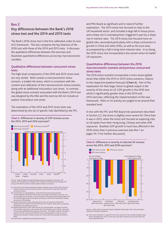## **Box 2 Key differences between the Bank's 2016 stress test and the 2014 and 2015 tests**

The Bank's 2016 stress test is the first calibrated under its new ACS framework. This box compares the key features of the 2016 test with those of the 2014 and 2015 tests. It discusses the qualitative differences between the exercises and illustrates quantitative differences across key macroeconomic variables.

#### **Qualitative differences between concurrent stress tests**

The high-level components of the 2016 and 2015 stress tests are very similar. Both contain a macroeconomic stress scenario, a traded risk stress, which is consistent with the content and calibration of the macroeconomic stress scenario, along with an additional misconduct cost stress. In contrast, the global stress scenario associated with the Bank's 2014 test was designed by the EBA and the exercise did not include an explicit misconduct cost stress.

The orientation of the 2014 and 2015 stress tests was determined by the set of specific risks identified by the FPC





Sources: Bank of England, European Banking Authority, European Commission, IMF October 2014 *World Economic Outlook*, IMF October 2015 *World Economic Outlook,* IMF January 2016 *World Economic Outlook Update* and Bank calculations.

- (a) Chart shows the maximum deviation between calendar-year real GDP in the stress and baseline scenarios, over the three-year (2014 scenario) and five-year (2015 and 2016
- scenarios) horizons. (b) The 2014 bars are calculated from: (i) the 2014 UK variant scenario (for the United Kingdom) and the 2014 EBA scenario (for foreign economies) in the stress, and<br>(ii) the projections of the MPC as communicated in the February 2014 *Inflation Report* (for<br>the United Kingdom) and the European Commiss economies) in the baseline.
- (c) Baseline projections in 2015, other than for the UK, are consistent with the IMF's projections in the October 2014 IMF *World Economic Outlook*. Bank staff have quarterly interpolated the original annual series.
- d) Baseline projections in 2016, other than for the United Kingdom, are largely consistent)<br>with the IMF's projections in the October 2015 IMF World Economic Outlook. Bank staff<br>have quarterly interpolated the original ann based on the IMF's January 2016 *World Economic Outlook Update*, to take account of material news between October and year-end. Bank staff have extended the profile to 2020.
- (e) World GDP is weighted by purchasing power parity.

and PRA Board as significant and in need of further exploration. The 2014 stress test focused on risks to the UK household sector, and included a large fall in house prices and a sharp rise in unemployment, triggered in part by a sharp rise in interest rates. The 2015 stress test focused more on global risks, associated particularly with a sharp contraction in growth in China and other EMEs, as well as the euro area, accompanied by a fall in long-term interest rates. In so doing, the 2015 stress test incorporated a less severe stress for banks' UK exposures.

#### **Quantitative differences between the 2016 macroeconomic scenario and previous concurrent stress tests**

The 2016 stress scenario incorporates a more severe global stress than either the 2014 or 2015 stress scenarios, relative to the respective baseline forecasts (**Chart A**). Part of the explanation for that larger shock to global output is the severity of the stress to US GDP growth in the 2016 test, which is significantly greater than in the 2014 and 2015 exercises, reflecting the implementation of the new framework. Risks to US activity are judged to be around their standard level.

In line with the FPC and PRA Board risk assessment described in Section 2.2, the stress is slightly more severe for China than it was in 2015, when the stress test focused on exploring risks to UK banks from their Hong Kong, Chinese and other EME exposures. Brazilian GDP growth is much less affected in the 2016 stress than in previous exercises (see Box 1 on pages 10–11 for further discussion).





Sources: Halifax, MSCI Investment Property Databank, Nationwide, ONS, Thomson Reuters Datastream and Bank calculations.

(a) Chart shows the peak-to-trough fall in the stress scenario for each variable (trough to peak for the unemployment rate), over the three-year (2014 scenario) and five-year (2015 and 2016 scenarios) horizon.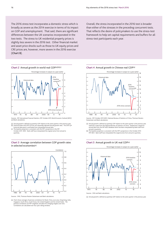The 2016 stress test incorporates a domestic stress which is broadly as severe as the 2014 exercise in terms of its impact on GDP and unemployment. That said, there are significant differences between the UK scenarios incorporated in the two tests. The stress to UK residential property prices is slightly less severe in the 2016 test. Other financial market and asset price shocks such as those to UK equity prices and CRE prices are, however, more severe in the 2016 exercise (**Chart B**).

#### **Chart 2** Annual growth in world real GDP(a)(b)(c)



Sources: IMF *International Financial Statistics*, IMF October 2015 *World Economic Outlook (WEO)* .s. .n .n .n.c.n.<br>Ink calculatio

- (a) Annual growth is defined as quarterly GDP relative to the same quarter in the previous year.<br>(b) Historical data until 2015 Q3 are non seasonally adjusted annual growth rates. The 2015 Q4<br>listorical data point is estim
- (c) The baseline projection is consistent with the IMF's projections in the IMF October 2015 *WEO*. Bank staff have interpolated the original series from annual to quarterly.

#### **Chart 3** Average correlation between GDP growth rates in selected economies(a)



Sources: ONS, Thomson Reuters Datastream and Bank calculations.

(a) Chart shows averages of pairwise correlations for Brazil, China, euro area, Hong Kong, India, Singapore, South Africa, South Korea, the United Kingdom and the United States. The<br>pairwise correlations are PPP-weighted, and allow for changing weights over time.<br>Correlations are calculated over four-year rolling wind

Overall, the stress incorporated in the 2016 test is broader than either of the stresses in the preceding concurrent tests. That reflects the desire of policymakers to use the stress-test framework to help set capital requirements and buffers for all stress-test participants each year.





Sources: IMF October 2015 *WEO*, National Bureau of Statistics of China, Thomson Reuters Datastream and Bank calculations.

- (a) Annual growth is defined as quarterly GDP relative to the same quarter in the previous year. Solid line is data from the National Bureau of Statistics of China. Dashed line is based on annual data from the IMF *WEO* database which has been interpolated by Bank staff from annual to quarterly.
- (b) The baseline projection is consistent with the IMF's projections in the October 2015 IMF *WEO*. Bank staff have interpolated the original series from annual to quarterly.

#### **Chart 5** Annual growth in UK real GDP(a)



(a) Annual growth is defined as quarterly GDP relative to the same quarter in the previous year.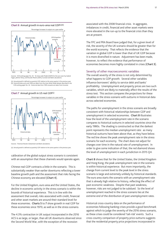**Chart 6** Annual growth in euro-area real GDP(a)(b)



Sources: ECB working paper No. 42: 'An Area-wide Model (AWM) for the euro area' by Gabriel Fagan, Jérôme Henry, and Ricardo Mestre (2001), Eurostat and Bank calculations.

Annual growth is defined as quarterly GDP relative to the same quarter in the previous year. (b) Historical data up to end-1994 are taken from the Area-Wide Model dataset described in the ECB working paper No. 42. Historical data from 1995 onwards are taken from Eurostat.





(a) Annual growth is defined as quarterly GDP relative to the same quarter in the previous year.

calibration of the global output stress scenario is consistent with an assumption that these channels would operate again.

Chinese real GDP contracts a little in the scenario. This is substantially weaker than earlier downturns reflecting a lower baseline growth path and the assessment that risks facing the Chinese economy are elevated (**Chart 4**).

For the United Kingdom, euro area and the United States, the decline in economic activity in the stress scenario is within the bounds of historical experience. This is in line with the assessment that overall, risks associated with credit, financial and other asset markets are around their standard level for these economies. **Charts 5** to **7** show growth in real GDP for these economies since 1970, as well as in the stress scenario.

The 4.3% contraction in UK output incorporated in the 2016 ACS is as large, or larger, than all UK downturns observed since the Second World War, with the exception of the recession

associated with the 2008 financial crisis. In aggregate, imbalances in credit, financial and other asset markets were more elevated in the run-up to the financial crisis than they are at present.

The FPC and PRA Board have judged that, for a given level of risk, the severity of the UK scenario should be greater than for the world economy. That reflects the evidence that the variation in global GDP is lower than that of UK GDP because it is more diversified in nature. Adjustment has been made, however, to reflect the evidence that performance of economies becomes more highly correlated in crises (**Chart 3**).

#### Severity of other macroeconomic variables

The overall severity of the stress is not only determined by what happens to GDP growth. Several other variables influence borrowers' ability to service debt and banks' profitability. Unemployment and property prices are two such variables, which are likely to materially affect the results of the stress test. This section compares the projections for these variables in the stress scenario with outturns in historical data across selected economies.

The paths for unemployment in the stress scenario are broadly consistent with historical relationships between GDP and unemployment in selected economies. **Chart 8** illustrates how the level of the unemployment rate in the scenario compares to historical outturns in selected countries since the early 1980s. The shading is constructed so that the darkest point represents the median unemployment rate: as many historical outturns have been above that, as they have below. The red line shows the peak unemployment rate in the stress scenario for each economy. The chart does not adjust for changes over time in the natural rate of unemployment. In order to give some indication of that, the red diamond shows the level of unemployment in each jurisdiction in 2015 Q4.

**Chart 8** shows that for the United States, the United Kingdom and Hong Kong, the peak unemployment rate in the scenario is within historical experience. But more importantly, the change from current level to the peak level in the stress scenario is large and extremely unlikely by historical standards. The euro area starts the scenario with an unemployment rate that is already high relative to history, reflecting the effect of past economic weakness. Despite that past weakness, however, risks are not judged to be subdued. So the level of unemployment reached in the stress scenario lies at the extreme end of the distribution of past unemployment rates.

Historical cross-country data on the performance of economies following banking crises provide a good benchmark against which to judge the severity of the 2016 stress scenario, as these crises could be considered 'tail-risk' events. Such a cross-country comparison of property price outturns suggests that the residential property price projections incorporated in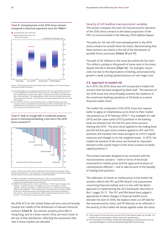

Unemployment rate in 2015 Q4 Peak unemployment rate in the



Sources: OECD Employment and Labour Market Statistics Database, ONS, Thomson Reuters Datastream and Bank calculations.

- (a) The shaded diagrams are a graphical representation of the historical distribution of the level of the unemployment rate since 1981. Data are quarterly. The shading is constructed so that the darkest point represents the median: as many historical outturns have fallen above<br>that, as they have below. The shading lightens in either direction to illustrate observations<br>further away from the median. The stress scenario.
- (b) Up to 1990 Q2, the euro-area unemployment rate is a weighted average across major euro-area countries, interpolated to quarterly frequency (from annual) by Bank staff. Data availability varies over this period; at a minimum eleven countries are included. All euro-area data are sourced from the OECD.

**Chart 9** Peak-to-trough falls in residential property prices in international banking crises and in the 2016 stress scenario(a)(b)



Sources: Federal Reserve Board, Halifax, Nationwide, OECD Housing Prices Database, Rating and Valuation Department — the Government of the Hong Kong Special Administrative Region, Statistics Iceland, Thomson Reuters Datastream and Bank calculations.

- (a) Peak-to-trough falls in residential property prices. Data is at a quarterly frequency. Residential property prices are defined in the scenario only for China, the euro area,
- Hong Kong, the United Kingdom and United States.<br>(b) Definition of banking crises as in Laeven, L and Valencia, F (2012), 'Systemic banking crises<br>database: an update' and Caprio, G, Klingebiel, D, Laeven, L and Noguera, G 'Appendix: banking crisis database' in S*ystemic financial crises: containment and resolution,*<br>subject to data availability. Covers banking crises in economies that are currently classified<br>by the IMF as 'advanced econ G20 countries. Only crises associated with a fall in residential property prices are shown in the chart. Time from peak to trough is limited to five years.

the 2016 ACS for the United States and euro area are broadly towards the middle of the distribution of relevant historical outturns (**Chart 9**). By contrast, property price falls in Hong Kong, and to a lesser extent China, are much closer to the top of that distribution, reflecting the assessment that risks in those markets are elevated.

#### Severity of UK headline macroeconomic variables

This section compares the main UK macroeconomic elements of the 2016 stress scenario to the latest projections of the MPC as communicated in the February 2016 *Inflation Report*.

The paths for UK real GDP and unemployment in the 2016 stress scenario lie outside these fan charts, demonstrating that these outturns are clearly in the tail of the distribution of possible future outcomes (**Charts 10** and **11**).

The path of UK inflation in the stress lies within the fan chart. This reflects a pickup in the growth of some costs in the stress, despite the fall in demand (**Chart 12**). For example, import costs rise due to the depreciation of sterling, and productivity growth is weak, putting upward pressure on unit wage costs.

#### **2.6 Approach to traded risk**

As in 2015, the 2016 stress test will incorporate a traded risk scenario that has been designed by Bank staff. This element of the 2016 stress test will principally examine the resilience of the investment banking operations of UK banks to a severe financial market shock.

The traded risk component of the 2016 stress test requires banks to apply an instantaneous price shock to their market risk positions as of 19 February 2016.(1) Any available-for-sale (AFS) and fair value option (FVO) positions in the banking book are stressed over the full five-year stress scenario, starting end-2015. The price shock applied to the trading book and the full five-year stress scenario applied to AFS and FVO positions will translate into losses and gains to a firm's capital resources and changes to its risk-weighted assets. In 2015, the traded risk element of the stress test formed an important element of the overall impact of the stress scenario on banks' capital positions.(2)

The scenario has been designed to be consistent with the macroeconomic scenario — both in terms of the broad movements in market prices and the types and locations of counterparties affected — and to take account of the liquidity of trading book positions.

The calibration of shocks to market prices in the traded risk scenario reflects the FPC and PRA Board's risk assessments concerning financial markets and is in line with the Bank's approach to implementing the ACS framework, described in Box 1, pages 10–11. The FPC and PRA Board have judged it appropriate to allow changes in financial market prices between the start of 2016, the balance sheet cut-off date for the macroeconomic stress, and 19 February to be reflected in the severity of the traded risk shocks applied under the stress.

<sup>(1)</sup> Other aspects of the stress test use end-2015 as the balance sheet cut-off date. For traded risk, end-year balance sheets may be less representative.

<sup>(2)</sup> For more detail on the Bank's traded risk methodology for the 2016 stress test see [www.bankofengland.co.uk/financialstability/Pages/fpc/stresstest.aspx.](www.bankofengland.co.uk/financialstability/Pages/fpc/stresstest.aspx)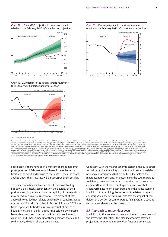**Chart 10** UK real GDP projection in the stress scenario relative to the February 2016 *Inflation Report* projection



**Chart 12** UK inflation in the stress scenario relative to the February 2016 *Inflation Report* projection



Sources: ONS and Bank calculations.

The fan charts depict the probability of various outcomes for real GDP, the unemployment rate and CPI inflation. They have been conditioned on the assumption that the stock of purchased assets financed by the<br>issuance of c years. To the right of the vertical dashed line, for all charts, the distribution reflects uncertainty over the evolution of GDP, CPI inflation or the unemployment rate in the future. For unemployment, the fan begins in<br>20 outturns are also expected to lie within each pair of the lighter coloured areas on 30 occasions. In any particular quarter of the forecast period, GDP, CPI inflation or the unemployment rate are therefore expected to<br>lie May 2002 *Inflation Report* for a fuller description of the fan chart and what it represents.

Specifically, if there have been significant changes in market prices prior to 19 February — which would be reflected in firms' actual profit and loss up to that date — then the shocks applied under the stress test will be correspondingly smaller.

The impact of a financial market shock on banks' trading books will be critically dependant on the liquidity of their positions and, in particular, how the liquidity of these positions may be reduced in a stress scenario. This element of the approach to traded risk reflects policymakers' concerns about market liquidity risks, described in Section 2.2. As in 2015, the Bank's approach to traded risk takes account of different liquidity horizons of banks' traded risk positions by imposing larger shocks on positions that banks would take longer to close out, and smaller shocks for those positions that could be sold or hedged within shorter time frames.

Consistent with the macroeconomic scenario, the 2016 stress test will examine the ability of banks to withstand the default of seven counterparties that would be vulnerable to the macroeconomic scenario. In determining the counterparties to default, banks are instructed to consider both the current creditworthiness of their counterparties, and how that creditworthiness might deteriorate under the stress scenario. In addition to examining the impact of the default of specific counterparties, the scenario will also test the impact of the default of a portion of counterparties falling within a specific sector vulnerable under the scenario.

#### **2.7 Approach to misconduct costs**

In addition to the macroeconomic and traded risk elements of the stress, the 2016 stress test also incorporates stressed projections for potential misconduct fines and other costs



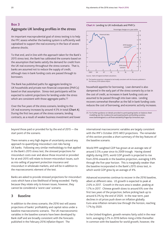## **Box 3 Aggregate UK lending profiles in the stress**

An important macroprudential goal of stress testing is to help the FPC assess whether the banking system is sufficiently well capitalised to support the real economy in the face of severe adverse shocks.

To that end, and in line with the approach taken for the Bank's 2015 stress test, the Bank has calibrated the scenario based on the assumption that banks satisfy the demand for credit from the UK real economy throughout the stress scenario. That is, banks are assumed not to reduce the supply of credit, although rises in bank funding costs are passed through to borrowers.

The Bank has published paths for aggregate lending to UK households and private non-financial corporates (PNFCs) based on that assumption. Stress-test participants will be expected to submit projections for lending under the stress which are consistent with those aggregate paths.<sup>(1)</sup>

Over the five years of the stress scenario, lending to the UK real economy increases by around 4.5% in total (**Chart A**). During the first two years of the stress scenario, lending contracts, as a result of weaker business investment and lower

beyond those paid or provided for by the end of 2015 — the start point of the scenario.

There remains a very high degree of uncertainty around any approach to quantifying misconduct cost risks facing UK banks. Following very similar methodology to that applied in the Bank's 2015 stress test, the stressed projections for misconduct costs over and above those incurred or provided for at end-2015 will relate to known misconduct issues, such as mis-selling of payment protection insurance and misconduct in wholesale markets, and will be in addition to the macroeconomic element of the test.

Banks are asked to provide stressed projections for misconduct costs which have a low likelihood of being exceeded. Partly because they relate only to known issues, however, they cannot be considered a 'worst case' scenario.

## **3 Baseline**

In addition to the stress scenario, the 2016 test will assess projections of banks' profitability and capital ratios under a baseline macroeconomic scenario. The UK macroeconomic variables in the baseline scenario have been developed by Bank staff and are broadly consistent with the forecasts published in the February 2016 *Inflation Report*. The





Sources: Bank of England and Bank calculations.

(a) The baseline projection is designed to be broadly consistent with the forecasts published in the February 2016 *Inflation Report*.

household appetite for borrowing. Loan demand is also dampened in the early part of the stress scenario by a rise in the cost of credit, as increases in bank funding costs are assumed to be passed through into loan rates. Lending recovers somewhat thereafter as the fall in bank funding costs reduces the cost of borrowing, and economic activity increases.

(1) For further guidance on details provided to participating banks on balance sheet modelling see the *Guidance for participating banks and building societies*; [www.bankofengland.co.uk/financialstability/Pages/fpc/stresstest.aspx.](www.bankofengland.co.uk/financialstability/Pages/fpc/stresstest.aspx)

international macroeconomic variables are largely consistent with the IMF's October 2015 *WEO* projections. The remainder of this section provides a short summary of the key features of the baseline scenario.

World PPP-weighted GDP has grown at an average rate of around 3.5% a year since its 2009 trough. Having slowed slightly during 2015, world GDP growth is projected to rise from 2016 onwards in the baseline projection, averaging 3.8% through the five-year horizon. This is marginally weaker than the baseline incorporated in the Bank's 2015 stress test, in which world GDP grew by an average of 4%.

Advanced economies continue to recover in the 2016 baseline, albeit at different rates. US growth is expected to peak at 2.6% in 2017. Growth in the euro area is weaker, peaking at 1.7% in 2017. Chinese growth slows to around 6% over the first two years of the projection, before picking back up to around 6.3% by the end of 2020. In the near term, past declines in oil prices push down on inflation globally. Euro-area inflation remains low through the horizon, reaching 1.7% by 2020.

In the United Kingdom, growth remains fairly solid in the near term, averaging 2.2% in 2016 before rising a little thereafter. In common with the baseline for world growth, however, the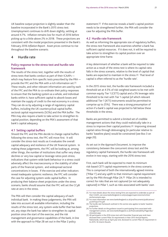UK baseline output projection is slightly weaker than the baseline incorporated in the Bank's 2015 stress test. Unemployment continues to drift down slightly, settling at around 4.7%. Inflation remains low for much of 2016 before picking up to a little above 2% in 2018. These projections are consistent with the modal projections presented in the Bank's February 2016 *Inflation Report*. Asset prices continue to rise throughout the baseline scenario.

## **4 Hurdle rate**

#### **Policy response to the stress test and hurdle rate framework**

The results of the stress test, together with the results of stress tests that banks conduct as part of their ICAAPs which may feature firm-specific tests prescribed by the PRA provide the FPC and the PRA with a rich information set.(1) These results, and other relevant information are used by each of the FPC and the PRA to co-ordinate their policy responses to ensure that the banking system as a whole, and individual banks within it, have sufficient capital to absorb losses and maintain the supply of credit to the real economy in a stress. They can do so by adjusting a range of regulatory capital buffers, including the UK countercyclical capital buffer, sectoral capital requirements (SCRs) and the PRA buffer. The PRA may also require a bank to take action to strengthen its capital position, depending on the PRA's assessment of that bank's capital adequacy.

#### **4.1 Setting capital buffers**

Should the FPC and the PRA decide to change capital buffers following the stress test, the FPC will move first. It will consider the stress-test results as it evaluates the overall capital adequacy and resilience of the UK financial system. In making these judgements, the FPC will be looking at, among other things, the number of institutions that suffer very sharp declines or very low capital or leverage ratios post-stress; indications that system-wide bank behaviour in a stress could adversely affect the macroeconomy or the stability of other parts of the financial system; and widespread sectoral concentrations in losses. If the exercise and other indicators reveal inadequate systemic resilience, the FPC will consider the case for adjusting system-wide capital buffers. In producing their balance sheet projections under the stress scenario, banks should assume that the FPC will set the CCyB rate at zero in the stress.

The PRA will then consider the capital adequacy of each individual bank. In making these judgements, the PRA will take into account all available information, including the results of the stress test, any system-wide buffer that has been set, any steps the bank has taken to strengthen its capital position since the start of the exercise, and the risk management and governance capabilities of the bank, in line with the approach to Pillar 2B set out in the Pillar 2 policy

statement.(2) If the exercise reveals a bank's capital position needs to be strengthened further, the PRA will consider the case for adjusting the PRA buffer.

#### **4.2 Hurdle rate framework**

As well as informing the appropriate size of regulatory buffers, the stress-test framework also examines whether a bank has sufficient capital resources. If it does not, it will be required to take action to strengthen its capital position over an appropriate time frame.

A key determinant of whether a bank will be required to take action as a result of the stress test is where its capital ratio falls in the stress scenario, relative to the level of capital that banks are expected to maintain in the stress.(3) That level of capital is often referred to as the 'hurdle rate'.

In the 2015 stress test, the hurdle rate framework included a threshold set at 4.5% of risk-weighted assets to be met with common equity Tier 1 (CET1) capital and a 3% leverage ratio threshold to be met with Tier 1 capital (of which relevant additional Tier 1 (AT1) instruments would be permitted to comprise up to 25%). There was a strong presumption of action if a bank's capital was projected to fall below these thresholds in the stress.

Banks are permitted to submit a limited set of credible management actions that they could realistically take in a stress to improve their capital positions.(4) Improving stressed capital ratios through deleveraging (in particular relative to banks' baseline plans) would be constrained (see Box 3 on page 20).

As set out in the *Approach Document*, to improve the consistency between the concurrent stress test and the regulatory capital framework, the hurdle rate framework will evolve in two ways, starting with the 2016 stress test.

First, each bank will be expected to meet its minimum risk-based CET1 capital requirements in the stress scenario. This is comprised of both the internationally agreed minima ('Pillar 1') and any uplift to that minimum capital requirement set by the PRA through Pillar 2A.(5) Pillar 2A is intended to correct for risks that are not captured (or not adequately captured) in Pillar 1, such as risks associated with banks' own

<sup>(1)</sup> For more details about the stress testing firms are expected to undertake as part of their ICAAPs, see [www.bankofengland.co.uk/pra/pages/supervision/activities/](http://www.bankofengland.co.uk/pra/pages/supervision/activities/anchorscenario.aspx) [anchorscenario.aspx.](http://www.bankofengland.co.uk/pra/pages/supervision/activities/anchorscenario.aspx)

<sup>(2)</sup> For more information see [www.bankofengland.co.uk/pra/Documents/publications/](www.bankofengland.co.uk/pra/Documents/publications/ps/2015/ps1715.pdf) [ps/2015/ps1715.pdf.](www.bankofengland.co.uk/pra/Documents/publications/ps/2015/ps1715.pdf)

<sup>(3)</sup> The hurdle rate framework outlined in this section also applies to banks' baseline projections.

<sup>(4)</sup> For further details on the guidance issued to participating firms associated with management actions, see [www.bankofengland.co.uk/financialstability/Pages/fpc/](http://www.bankofengland.co.uk/financialstability/Pages/fpc/stresstest.aspx) [stresstest.aspx.](http://www.bankofengland.co.uk/financialstability/Pages/fpc/stresstest.aspx)

<sup>(5)</sup> All participants in the 2016 stress test with December financial year ends have disclosed their current Pillar 2A requirements in their 2015 Annual Reports. Nationwide, which has an April year end, disclosed its current Pillar 2A requirement in its 2015–16 Interim Results.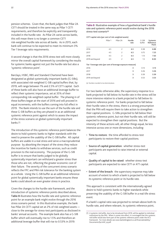pension schemes. Given that, the Bank judges that Pillar 2A CET1 should be treated in the same way as Pillar 1 CET1 requirements, and therefore be explicitly and transparently included in the hurdle rate. As Pillar 2A varies across banks, this will mean there is no longer a common CET1 risk-weighted hurdle rate across all banks. As in 2015, each bank will continue to be expected to meet its minimum 3% Tier 1 leverage ratio requirements.

A second change is that the 2016 stress test will more closely mirror the overall capital framework by considering the results for systemic banks against not just the hurdle rate but also a 'systemic reference point'.

Barclays, HSBC, RBS and Standard Chartered have been designated as global systemically important banks (G-SIBs), with associated risk-weighted G-SIB capital buffers that, by 2019, will range between 1% and 2.5% of CET1 capital. Each of these banks will also have an additional leverage buffer to reflect their systemic importance, set at 35% of their corresponding risk-weighted capital buffer. The phasing in of these buffers began at the start of 2016 and will proceed in equal increments, with the buffers coming into full effect in 2019. The Bank intends to use the sum of the hurdle rate and these G-SIB buffers as they are phased in as an additional systemic reference point against which to assess the impact of the stress scenario on global systemically important banks.(1)

The introduction of this systemic reference point balances the desire to hold systemic banks to higher standards with the need to preserve the usability of the G-SIB buffer. All capital buffers are usable in a real stress and serve a macroprudential purpose: by absorbing the impact of the stress they reduce the incentive for banks to withdraw services, such as credit provision to the real economy. The purpose of the G-SIB buffer is to ensure that banks judged to be globally systemically important can withstand a greater stress than those who are not, reflecting the greater economic cost of their failure. The severity of the concurrent stress scenario reflects the FPC and PRA risk tolerance for the banking system as a whole. Using the G-SIB buffer as an additional reference point for global systemically important banks ensures these banks could absorb an even greater stress in practice.

Given the changes to the hurdle rate framework, and the introduction of systemic reference points described above, **Table B** illustrates how the hurdle rate and systemic reference point for an example bank might evolve through the 2016 stress scenario period. In this illustrative example, the bank has Pillar 2A CET1 capital set at 2% of risk-weighted assets close to the average for stress-test participants as disclosed in banks' annual accounts. The example bank also has a G-SIB buffer which will eventually rise to 1.5% and therefore an additional leverage buffer that will rise to 0.53% in 2019.

**Table B** Illustrative example of how a hypothetical bank's hurdle rate and systemic reference point would evolve during the 2016 stress-test scenario<sup>(a)</sup>

#### **CET1 capital ratio (per cent of risk-weighted assets)**

|                                                               | Pillar 1 | Pillar 2A      | Hurdle<br>rate | G-SIB<br>buffer | Systemic<br>Reference<br>Point |
|---------------------------------------------------------------|----------|----------------|----------------|-----------------|--------------------------------|
| 2016                                                          | 4.5      | 2              | 6.5            | 0.38            | 6.88                           |
| 2017                                                          | 4.5      | 2              | 6.5            | 0.75            | 7.25                           |
| 2018                                                          | 4.5      | 2              | 6.5            | 1.13            | 7.63                           |
| 2019 and beyond                                               | 4.5      | $\overline{c}$ | 6.5            | 1.5             | 8.00                           |
| Tier 1 leverage ratio (per cent of leverage exposure measure) |          |                |                |                 |                                |
| 2016                                                          |          |                | 3              | 0.13            | 3.13                           |
| 2017                                                          |          |                | 3              | 0.26            | 3.26                           |
| 2018                                                          |          |                | 3              | 0.39            | 3.39                           |
| 2019 and beyond                                               |          |                | 3              | 0.53            | 3.53                           |

(a) Numbers rounded to two decimal places.

For two banks otherwise alike, the supervisory response to a bank projected to fall below its hurdle rate in the stress will be more intensive relative to a bank projected to fall below its systemic reference point. For banks projected to fall below their hurdle rates in the stress, there is a strong presumption that the PRA will require them to take action to strengthen their capital positions. G-SIBs projected to fall below their systemic reference point, but not their hurdle rate, will still be expected to strengthen their capital positions. But the intensity of these actions will, all other things equal, be less intensive across one or more dimensions, including:

- **Time to restore:** the time afforded to stress-test participants to restore their capital positions.
- **Source of capital generation:** whether stress-test participants are expected to raise internal or external capital.
- **Quality of capital to be raised:** whether stress-test participants are expected to raise CET1 or AT1 capital.
- **Extent of the breach:** the supervisory response may take account of extent to which a bank is projected to fall below its systemic reference point or its hurdle rate.

This approach is consistent with the internationally agreed desire to hold systemic banks to higher standards while preserving the usability of the G-SIB buffer in a real-life stress event.

If a bank's capital ratio was projected to remain above both its hurdle rate, and where relevant, its systemic reference point,

<sup>(1)</sup> A systemic risk buffer, due to be introduced from 2019, will be applied to individual institutions by the PRA. When it comes into effect, it is envisaged that this systemic risk buffer would also form part of the systemic reference point under the ACS framework. For more details see [www.bankofengland.co.uk/financialstability/](http://www.bankofengland.co.uk/financialstability/Documents/fpc/srbf_cp.pdf) [Documents/fpc/srbf\\_cp.pdf.](http://www.bankofengland.co.uk/financialstability/Documents/fpc/srbf_cp.pdf)